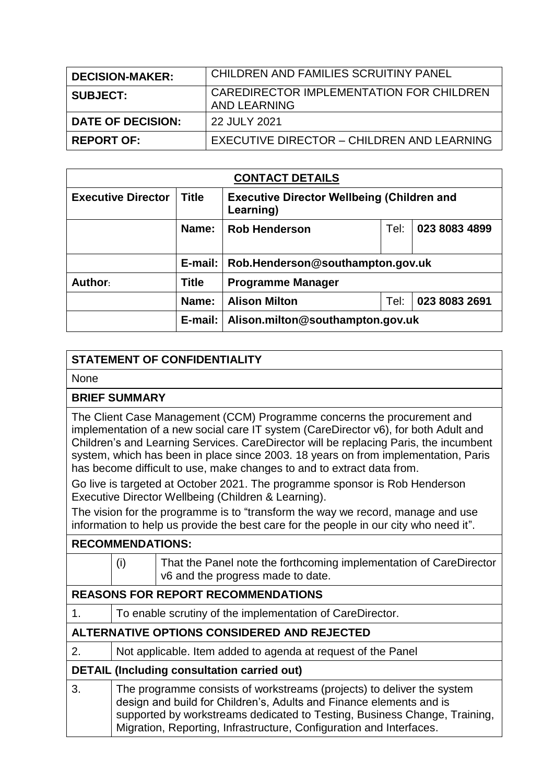| <b>DECISION-MAKER:</b>   | CHILDREN AND FAMILIES SCRUITINY PANEL                    |
|--------------------------|----------------------------------------------------------|
| <b>SUBJECT:</b>          | CAREDIRECTOR IMPLEMENTATION FOR CHILDREN<br>AND LEARNING |
| <b>DATE OF DECISION:</b> | 22 JULY 2021                                             |
| <b>REPORT OF:</b>        | EXECUTIVE DIRECTOR - CHILDREN AND LEARNING               |

| <b>CONTACT DETAILS</b>    |              |                                                                |      |               |  |
|---------------------------|--------------|----------------------------------------------------------------|------|---------------|--|
| <b>Executive Director</b> | <b>Title</b> | <b>Executive Director Wellbeing (Children and</b><br>Learning) |      |               |  |
|                           | Name:        | <b>Rob Henderson</b>                                           | Tel: | 023 8083 4899 |  |
|                           |              | E-mail:   Rob.Henderson@southampton.gov.uk                     |      |               |  |
| Author:                   | <b>Title</b> | <b>Programme Manager</b>                                       |      |               |  |
|                           | Name:        | <b>Alison Milton</b>                                           | Tel: | 023 8083 2691 |  |
|                           | $E$ -mail:   | Alison.milton@southampton.gov.uk                               |      |               |  |

## **STATEMENT OF CONFIDENTIALITY**

None

## **BRIEF SUMMARY**

The Client Case Management (CCM) Programme concerns the procurement and implementation of a new social care IT system (CareDirector v6), for both Adult and Children's and Learning Services. CareDirector will be replacing Paris, the incumbent system, which has been in place since 2003. 18 years on from implementation, Paris has become difficult to use, make changes to and to extract data from.

Go live is targeted at October 2021. The programme sponsor is Rob Henderson Executive Director Wellbeing (Children & Learning).

The vision for the programme is to "transform the way we record, manage and use information to help us provide the best care for the people in our city who need it".

| <b>RECOMMENDATIONS:</b>                            |                                                                                                                                                                                                                                                                                                   |                                                                                                         |  |
|----------------------------------------------------|---------------------------------------------------------------------------------------------------------------------------------------------------------------------------------------------------------------------------------------------------------------------------------------------------|---------------------------------------------------------------------------------------------------------|--|
|                                                    | (i)                                                                                                                                                                                                                                                                                               | That the Panel note the forthcoming implementation of CareDirector<br>v6 and the progress made to date. |  |
| <b>REASONS FOR REPORT RECOMMENDATIONS</b>          |                                                                                                                                                                                                                                                                                                   |                                                                                                         |  |
| 1.                                                 | To enable scrutiny of the implementation of CareDirector.                                                                                                                                                                                                                                         |                                                                                                         |  |
| ALTERNATIVE OPTIONS CONSIDERED AND REJECTED        |                                                                                                                                                                                                                                                                                                   |                                                                                                         |  |
| 2.                                                 | Not applicable. Item added to agenda at request of the Panel                                                                                                                                                                                                                                      |                                                                                                         |  |
| <b>DETAIL (Including consultation carried out)</b> |                                                                                                                                                                                                                                                                                                   |                                                                                                         |  |
| 3.                                                 | The programme consists of workstreams (projects) to deliver the system<br>design and build for Children's, Adults and Finance elements and is<br>supported by workstreams dedicated to Testing, Business Change, Training,<br>Migration, Reporting, Infrastructure, Configuration and Interfaces. |                                                                                                         |  |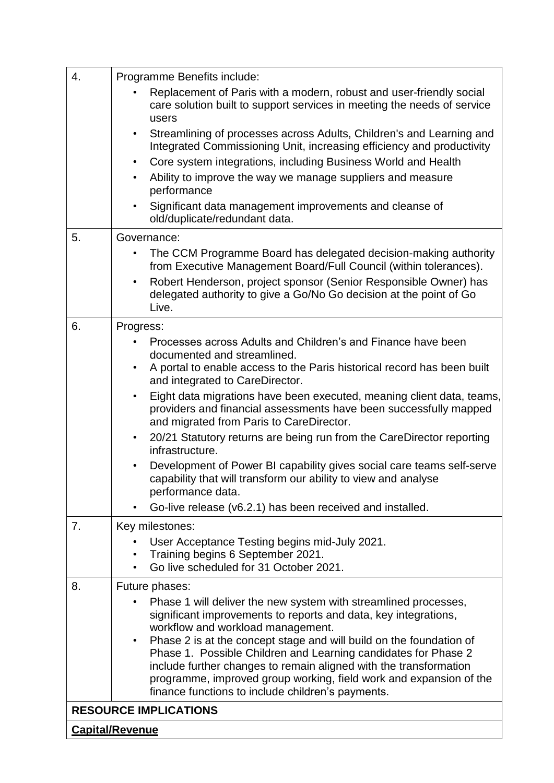| 4.                           | Programme Benefits include:                                                                                                                                  |  |  |  |
|------------------------------|--------------------------------------------------------------------------------------------------------------------------------------------------------------|--|--|--|
|                              | Replacement of Paris with a modern, robust and user-friendly social<br>care solution built to support services in meeting the needs of service<br>users      |  |  |  |
|                              | Streamlining of processes across Adults, Children's and Learning and<br>$\bullet$<br>Integrated Commissioning Unit, increasing efficiency and productivity   |  |  |  |
|                              | Core system integrations, including Business World and Health<br>$\bullet$                                                                                   |  |  |  |
|                              | Ability to improve the way we manage suppliers and measure<br>$\bullet$<br>performance                                                                       |  |  |  |
|                              | Significant data management improvements and cleanse of<br>old/duplicate/redundant data.                                                                     |  |  |  |
| 5.                           | Governance:                                                                                                                                                  |  |  |  |
|                              | The CCM Programme Board has delegated decision-making authority<br>from Executive Management Board/Full Council (within tolerances).                         |  |  |  |
|                              | Robert Henderson, project sponsor (Senior Responsible Owner) has<br>$\bullet$<br>delegated authority to give a Go/No Go decision at the point of Go<br>Live. |  |  |  |
| 6.                           | Progress:                                                                                                                                                    |  |  |  |
|                              | Processes across Adults and Children's and Finance have been                                                                                                 |  |  |  |
|                              | documented and streamlined.                                                                                                                                  |  |  |  |
|                              | A portal to enable access to the Paris historical record has been built<br>and integrated to CareDirector.                                                   |  |  |  |
|                              | Eight data migrations have been executed, meaning client data, teams,<br>$\bullet$                                                                           |  |  |  |
|                              | providers and financial assessments have been successfully mapped<br>and migrated from Paris to CareDirector.                                                |  |  |  |
|                              | 20/21 Statutory returns are being run from the CareDirector reporting<br>$\bullet$<br>infrastructure.                                                        |  |  |  |
|                              | Development of Power BI capability gives social care teams self-serve<br>capability that will transform our ability to view and analyse<br>performance data. |  |  |  |
|                              | Go-live release (v6.2.1) has been received and installed.                                                                                                    |  |  |  |
| 7.                           | Key milestones:                                                                                                                                              |  |  |  |
|                              | User Acceptance Testing begins mid-July 2021.                                                                                                                |  |  |  |
|                              | Training begins 6 September 2021.<br>Go live scheduled for 31 October 2021.                                                                                  |  |  |  |
|                              |                                                                                                                                                              |  |  |  |
| 8.                           | Future phases:<br>Phase 1 will deliver the new system with streamlined processes,                                                                            |  |  |  |
|                              | significant improvements to reports and data, key integrations,                                                                                              |  |  |  |
|                              | workflow and workload management.                                                                                                                            |  |  |  |
|                              | Phase 2 is at the concept stage and will build on the foundation of<br>$\bullet$<br>Phase 1. Possible Children and Learning candidates for Phase 2           |  |  |  |
|                              | include further changes to remain aligned with the transformation                                                                                            |  |  |  |
|                              | programme, improved group working, field work and expansion of the                                                                                           |  |  |  |
|                              | finance functions to include children's payments.                                                                                                            |  |  |  |
| <b>RESOURCE IMPLICATIONS</b> |                                                                                                                                                              |  |  |  |
|                              | <b>Capital/Revenue</b>                                                                                                                                       |  |  |  |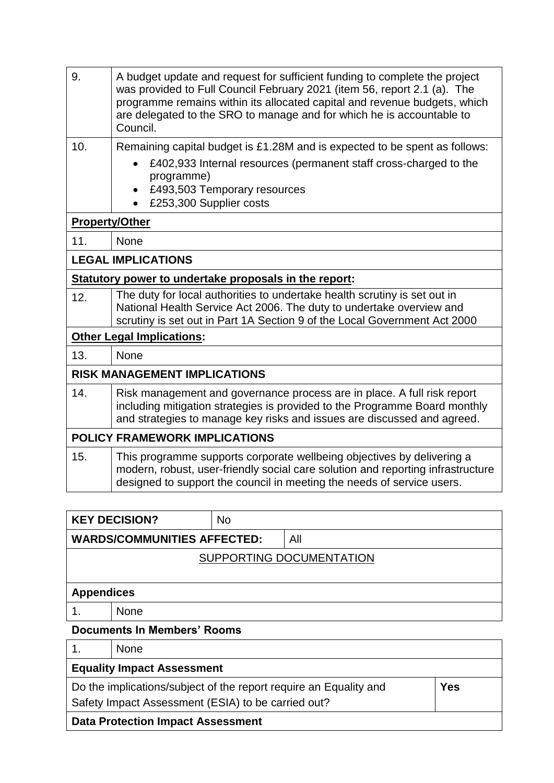| 9.                    | A budget update and request for sufficient funding to complete the project<br>was provided to Full Council February 2021 (item 56, report 2.1 (a). The<br>programme remains within its allocated capital and revenue budgets, which<br>are delegated to the SRO to manage and for which he is accountable to<br>Council. |  |  |  |
|-----------------------|--------------------------------------------------------------------------------------------------------------------------------------------------------------------------------------------------------------------------------------------------------------------------------------------------------------------------|--|--|--|
| 10.                   | Remaining capital budget is £1.28M and is expected to be spent as follows:                                                                                                                                                                                                                                               |  |  |  |
|                       | £402,933 Internal resources (permanent staff cross-charged to the<br>programme)                                                                                                                                                                                                                                          |  |  |  |
|                       | £493,503 Temporary resources                                                                                                                                                                                                                                                                                             |  |  |  |
|                       | £253,300 Supplier costs                                                                                                                                                                                                                                                                                                  |  |  |  |
| <b>Property/Other</b> |                                                                                                                                                                                                                                                                                                                          |  |  |  |
| 11.                   | None                                                                                                                                                                                                                                                                                                                     |  |  |  |
|                       | <b>LEGAL IMPLICATIONS</b>                                                                                                                                                                                                                                                                                                |  |  |  |
|                       | Statutory power to undertake proposals in the report:                                                                                                                                                                                                                                                                    |  |  |  |
| 12.                   | The duty for local authorities to undertake health scrutiny is set out in<br>National Health Service Act 2006. The duty to undertake overview and<br>scrutiny is set out in Part 1A Section 9 of the Local Government Act 2000                                                                                           |  |  |  |
|                       | <b>Other Legal Implications:</b>                                                                                                                                                                                                                                                                                         |  |  |  |
| 13.                   | <b>None</b>                                                                                                                                                                                                                                                                                                              |  |  |  |
|                       | <b>RISK MANAGEMENT IMPLICATIONS</b>                                                                                                                                                                                                                                                                                      |  |  |  |
| 14.                   | Risk management and governance process are in place. A full risk report<br>including mitigation strategies is provided to the Programme Board monthly<br>and strategies to manage key risks and issues are discussed and agreed.                                                                                         |  |  |  |
|                       | <b>POLICY FRAMEWORK IMPLICATIONS</b>                                                                                                                                                                                                                                                                                     |  |  |  |
| 15.                   | This programme supports corporate wellbeing objectives by delivering a<br>modern, robust, user-friendly social care solution and reporting infrastructure<br>designed to support the council in meeting the needs of service users.                                                                                      |  |  |  |

|                                    | <b>KEY DECISION?</b> | <b>No</b> |     |  |
|------------------------------------|----------------------|-----------|-----|--|
| <b>WARDS/COMMUNITIES AFFECTED:</b> |                      |           | All |  |
| SUPPORTING DOCUMENTATION           |                      |           |     |  |
|                                    |                      |           |     |  |
| <b>Appendices</b>                  |                      |           |     |  |
|                                    | <b>None</b>          |           |     |  |
| <b>Documents In Members' Rooms</b> |                      |           |     |  |
|                                    | <b>None</b>          |           |     |  |

## **Equality Impact Assessment**  Do the implications/subject of the report require an Equality and Safety Impact Assessment (ESIA) to be carried out? **Yes Data Protection Impact Assessment**